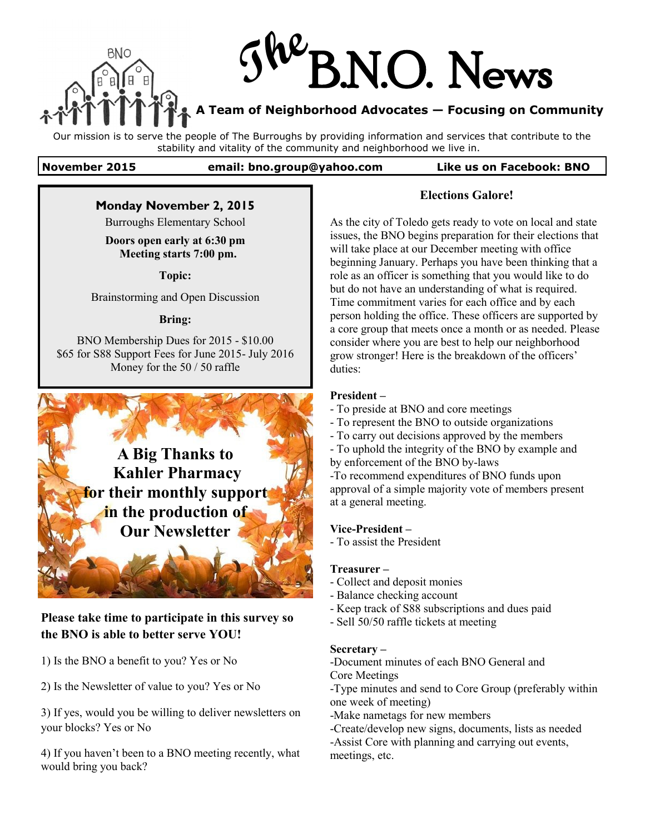



### **A Team of Neighborhood Advocates — Focusing on Community**

Our mission is to serve the people of The Burroughs by providing information and services that contribute to the stability and vitality of the community and neighborhood we live in.

**November 2015 email: bno.group@yahoo.com Like us on Facebook: BNO**

### **Monday November 2, 2015**

Burroughs Elementary School

#### **Doors open early at 6:30 pm Meeting starts 7:00 pm.**

**Topic:**

Brainstorming and Open Discussion

#### **Bring:**

BNO Membership Dues for 2015 - \$10.00 \$65 for S88 Support Fees for June 2015- July 2016 Money for the 50 / 50 raffle



# **Please take time to participate in this survey so the BNO is able to better serve YOU!**

1) Is the BNO a benefit to you? Yes or No

2) Is the Newsletter of value to you? Yes or No

3) If yes, would you be willing to deliver newsletters on your blocks? Yes or No

4) If you haven't been to a BNO meeting recently, what would bring you back?

### **Elections Galore!**

As the city of Toledo gets ready to vote on local and state issues, the BNO begins preparation for their elections that will take place at our December meeting with office beginning January. Perhaps you have been thinking that a role as an officer is something that you would like to do but do not have an understanding of what is required. Time commitment varies for each office and by each person holding the office. These officers are supported by a core group that meets once a month or as needed. Please consider where you are best to help our neighborhood grow stronger! Here is the breakdown of the officers' duties:

### **President –**

- To preside at BNO and core meetings
- To represent the BNO to outside organizations
- To carry out decisions approved by the members
- To uphold the integrity of the BNO by example and by enforcement of the BNO by-laws

-To recommend expenditures of BNO funds upon approval of a simple majority vote of members present at a general meeting.

#### **Vice-President –**

- To assist the President

#### **Treasurer –**

- Collect and deposit monies
- Balance checking account
- Keep track of S88 subscriptions and dues paid
- Sell 50/50 raffle tickets at meeting

#### **Secretary –**

-Document minutes of each BNO General and Core Meetings

-Type minutes and send to Core Group (preferably within one week of meeting)

-Make nametags for new members

- -Create/develop new signs, documents, lists as needed
- -Assist Core with planning and carrying out events, meetings, etc.